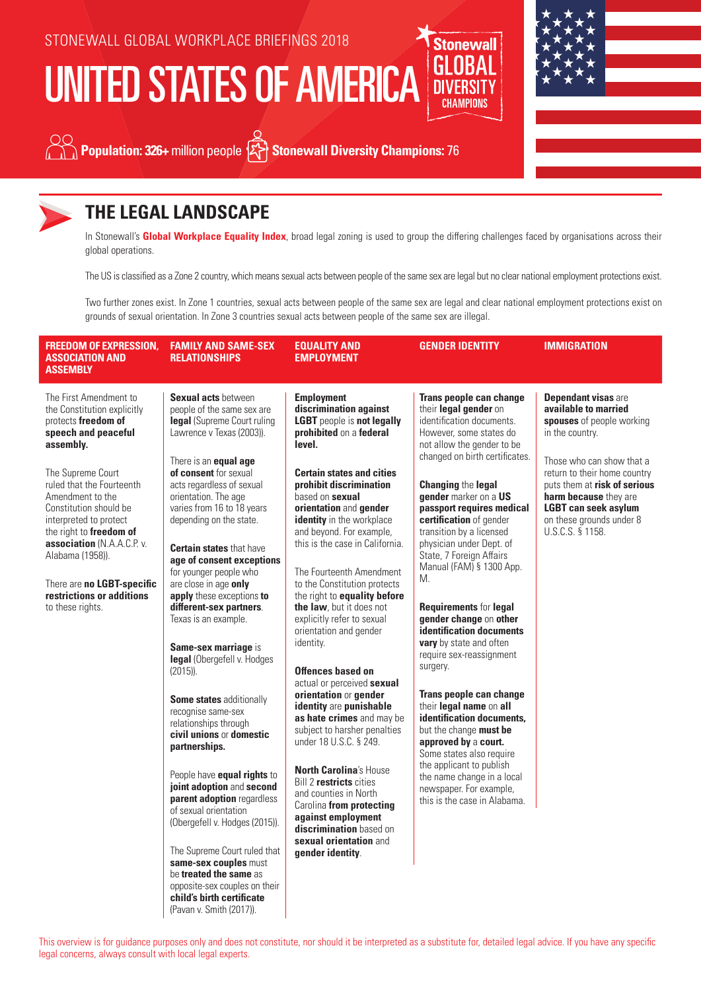# UNITED STATES OF AMERICA





**Population: 326+** million people  $\widetilde{Z}$  Stonewall Diversity Champions: 76

**Stonewall** 



## **THE LEGAL LANDSCAPE**

In Stonewall's **Global Workplace Equality Index**, broad legal zoning is used to group the differing challenges faced by organisations across their global operations.

The US is classified as a Zone 2 country, which means sexual acts between people of the same sex are legal but no clear national employment protections exist.

Two further zones exist. In Zone 1 countries, sexual acts between people of the same sex are legal and clear national employment protections exist on grounds of sexual orientation. In Zone 3 countries sexual acts between people of the same sex are illegal.

| <b>FREEDOM OF EXPRESSION,</b><br><b>ASSOCIATION AND</b><br><b>ASSEMBLY</b>                                                                                                                                                                                                                                                                                                                             | <b>FAMILY AND SAME-SEX</b><br><b>RELATIONSHIPS</b>                                                                                                                                                                                                                                                                                                                                                                                                                                                                                                                                                                                                                                                                                                                                                                                                                                                                                                                                                                             | <b>EQUALITY AND</b><br><b>EMPLOYMENT</b>                                                                                                                                                                                                                                                                                                                                                                                                                                                                                                                                                                                                                                                                                                                                                                                                                                                                                                               | <b>GENDER IDENTITY</b>                                                                                                                                                                                                                                                                                                                                                                                                                                                                                                                                                                                                                                                                                                                                                                                                                                       | <b>IMMIGRATION</b>                                                                                                                                                                                                                                                                                      |
|--------------------------------------------------------------------------------------------------------------------------------------------------------------------------------------------------------------------------------------------------------------------------------------------------------------------------------------------------------------------------------------------------------|--------------------------------------------------------------------------------------------------------------------------------------------------------------------------------------------------------------------------------------------------------------------------------------------------------------------------------------------------------------------------------------------------------------------------------------------------------------------------------------------------------------------------------------------------------------------------------------------------------------------------------------------------------------------------------------------------------------------------------------------------------------------------------------------------------------------------------------------------------------------------------------------------------------------------------------------------------------------------------------------------------------------------------|--------------------------------------------------------------------------------------------------------------------------------------------------------------------------------------------------------------------------------------------------------------------------------------------------------------------------------------------------------------------------------------------------------------------------------------------------------------------------------------------------------------------------------------------------------------------------------------------------------------------------------------------------------------------------------------------------------------------------------------------------------------------------------------------------------------------------------------------------------------------------------------------------------------------------------------------------------|--------------------------------------------------------------------------------------------------------------------------------------------------------------------------------------------------------------------------------------------------------------------------------------------------------------------------------------------------------------------------------------------------------------------------------------------------------------------------------------------------------------------------------------------------------------------------------------------------------------------------------------------------------------------------------------------------------------------------------------------------------------------------------------------------------------------------------------------------------------|---------------------------------------------------------------------------------------------------------------------------------------------------------------------------------------------------------------------------------------------------------------------------------------------------------|
| The First Amendment to<br>the Constitution explicitly<br>protects freedom of<br>speech and peaceful<br>assembly.<br>The Supreme Court<br>ruled that the Fourteenth<br>Amendment to the<br>Constitution should be<br>interpreted to protect<br>the right to freedom of<br>association (N.A.A.C.P. v.<br>Alabama (1958)).<br>There are no LGBT-specific<br>restrictions or additions<br>to these rights. | <b>Sexual acts between</b><br>people of the same sex are<br>legal (Supreme Court ruling<br>Lawrence v Texas (2003)).<br>There is an <b>equal age</b><br>of consent for sexual<br>acts regardless of sexual<br>orientation. The age<br>varies from 16 to 18 years<br>depending on the state.<br><b>Certain states</b> that have<br>age of consent exceptions<br>for younger people who<br>are close in age only<br>apply these exceptions to<br>different-sex partners.<br>Texas is an example.<br>Same-sex marriage is<br>legal (Obergefell v. Hodges<br>$(2015)$ ).<br>Some states additionally<br>recognise same-sex<br>relationships through<br>civil unions or domestic<br>partnerships.<br>People have equal rights to<br>joint adoption and second<br>parent adoption regardless<br>of sexual orientation<br>(Obergefell v. Hodges (2015)).<br>The Supreme Court ruled that<br>same-sex couples must<br>be treated the same as<br>opposite-sex couples on their<br>child's birth certificate<br>(Pavan v. Smith (2017)). | <b>Employment</b><br>discrimination against<br><b>LGBT</b> people is not legally<br>prohibited on a federal<br>level.<br><b>Certain states and cities</b><br><b>prohibit discrimination</b><br>based on sexual<br><b>orientation</b> and gender<br>identity in the workplace<br>and beyond. For example,<br>this is the case in California.<br>The Fourteenth Amendment<br>to the Constitution protects<br>the right to equality before<br>the law, but it does not<br>explicitly refer to sexual<br>orientation and gender<br>identity.<br>Offences based on<br>actual or perceived sexual<br>orientation or gender<br>identity are punishable<br>as hate crimes and may be<br>subject to harsher penalties<br>under 18 U.S.C. § 249.<br><b>North Carolina's House</b><br>Bill 2 restricts cities<br>and counties in North<br>Carolina from protecting<br>against employment<br>discrimination based on<br>sexual orientation and<br>gender identity. | Trans people can change<br>their legal gender on<br>identification documents.<br>However, some states do<br>not allow the gender to be<br>changed on birth certificates.<br><b>Changing the legal</b><br>gender marker on a US<br>passport requires medical<br>certification of gender<br>transition by a licensed<br>physician under Dept. of<br>State, 7 Foreign Affairs<br>Manual (FAM) § 1300 App.<br>М.<br><b>Requirements for legal</b><br>gender change on other<br>identification documents<br>vary by state and often<br>require sex-reassignment<br>surgery.<br>Trans people can change<br>their legal name on all<br>identification documents,<br>but the change must be<br>approved by a court.<br>Some states also require<br>the applicant to publish<br>the name change in a local<br>newspaper. For example,<br>this is the case in Alabama. | <b>Dependant visas are</b><br>available to married<br>spouses of people working<br>in the country.<br>Those who can show that a<br>return to their home country<br>puts them at risk of serious<br>harm because they are<br><b>LGBT can seek asylum</b><br>on these grounds under 8<br>U.S.C.S. § 1158. |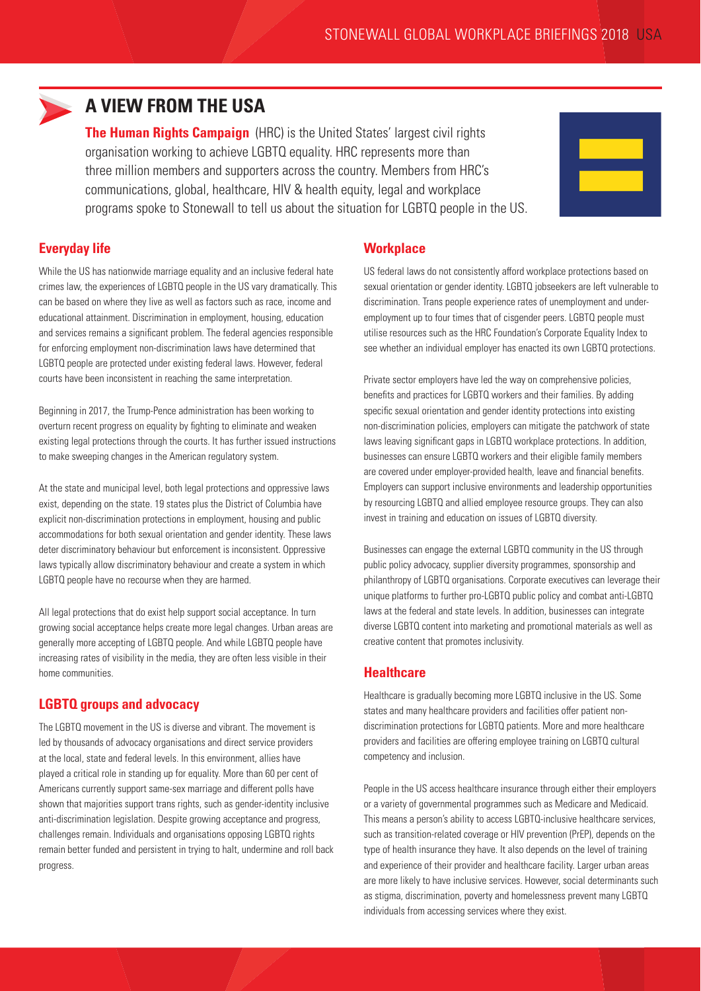

### **A VIEW FROM THE USA**

**The Human Rights Campaign** (HRC) is the United States' largest civil rights organisation working to achieve LGBTQ equality. HRC represents more than three million members and supporters across the country. Members from HRC's communications, global, healthcare, HIV & health equity, legal and workplace programs spoke to Stonewall to tell us about the situation for LGBTQ people in the US.



### **Everyday life**

While the US has nationwide marriage equality and an inclusive federal hate crimes law, the experiences of LGBTQ people in the US vary dramatically. This can be based on where they live as well as factors such as race, income and educational attainment. Discrimination in employment, housing, education and services remains a significant problem. The federal agencies responsible for enforcing employment non-discrimination laws have determined that LGBTQ people are protected under existing federal laws. However, federal courts have been inconsistent in reaching the same interpretation.

Beginning in 2017, the Trump-Pence administration has been working to overturn recent progress on equality by fighting to eliminate and weaken existing legal protections through the courts. It has further issued instructions to make sweeping changes in the American regulatory system.

At the state and municipal level, both legal protections and oppressive laws exist, depending on the state. 19 states plus the District of Columbia have explicit non-discrimination protections in employment, housing and public accommodations for both sexual orientation and gender identity. These laws deter discriminatory behaviour but enforcement is inconsistent. Oppressive laws typically allow discriminatory behaviour and create a system in which LGBTQ people have no recourse when they are harmed.

All legal protections that do exist help support social acceptance. In turn growing social acceptance helps create more legal changes. Urban areas are generally more accepting of LGBTQ people. And while LGBTQ people have increasing rates of visibility in the media, they are often less visible in their home communities.

### **LGBTQ groups and advocacy**

The LGBTQ movement in the US is diverse and vibrant. The movement is led by thousands of advocacy organisations and direct service providers at the local, state and federal levels. In this environment, allies have played a critical role in standing up for equality. More than 60 per cent of Americans currently support same-sex marriage and different polls have shown that majorities support trans rights, such as gender-identity inclusive anti-discrimination legislation. Despite growing acceptance and progress, challenges remain. Individuals and organisations opposing LGBTQ rights remain better funded and persistent in trying to halt, undermine and roll back progress.

### **Workplace**

US federal laws do not consistently afford workplace protections based on sexual orientation or gender identity. LGBTQ jobseekers are left vulnerable to discrimination. Trans people experience rates of unemployment and underemployment up to four times that of cisgender peers. LGBTQ people must utilise resources such as the HRC Foundation's Corporate Equality Index to see whether an individual employer has enacted its own LGBTQ protections.

Private sector employers have led the way on comprehensive policies, benefits and practices for LGBTQ workers and their families. By adding specific sexual orientation and gender identity protections into existing non-discrimination policies, employers can mitigate the patchwork of state laws leaving significant gaps in LGBTQ workplace protections. In addition, businesses can ensure LGBTQ workers and their eligible family members are covered under employer-provided health, leave and financial benefits. Employers can support inclusive environments and leadership opportunities by resourcing LGBTQ and allied employee resource groups. They can also invest in training and education on issues of LGBTQ diversity.

Businesses can engage the external LGBTQ community in the US through public policy advocacy, supplier diversity programmes, sponsorship and philanthropy of LGBTQ organisations. Corporate executives can leverage their unique platforms to further pro-LGBTQ public policy and combat anti-LGBTQ laws at the federal and state levels. In addition, businesses can integrate diverse LGBTQ content into marketing and promotional materials as well as creative content that promotes inclusivity.

### **Healthcare**

Healthcare is gradually becoming more LGBTQ inclusive in the US. Some states and many healthcare providers and facilities offer patient nondiscrimination protections for LGBTQ patients. More and more healthcare providers and facilities are offering employee training on LGBTQ cultural competency and inclusion.

People in the US access healthcare insurance through either their employers or a variety of governmental programmes such as Medicare and Medicaid. This means a person's ability to access LGBTQ-inclusive healthcare services, such as transition-related coverage or HIV prevention (PrEP), depends on the type of health insurance they have. It also depends on the level of training and experience of their provider and healthcare facility. Larger urban areas are more likely to have inclusive services. However, social determinants such as stigma, discrimination, poverty and homelessness prevent many LGBTQ individuals from accessing services where they exist.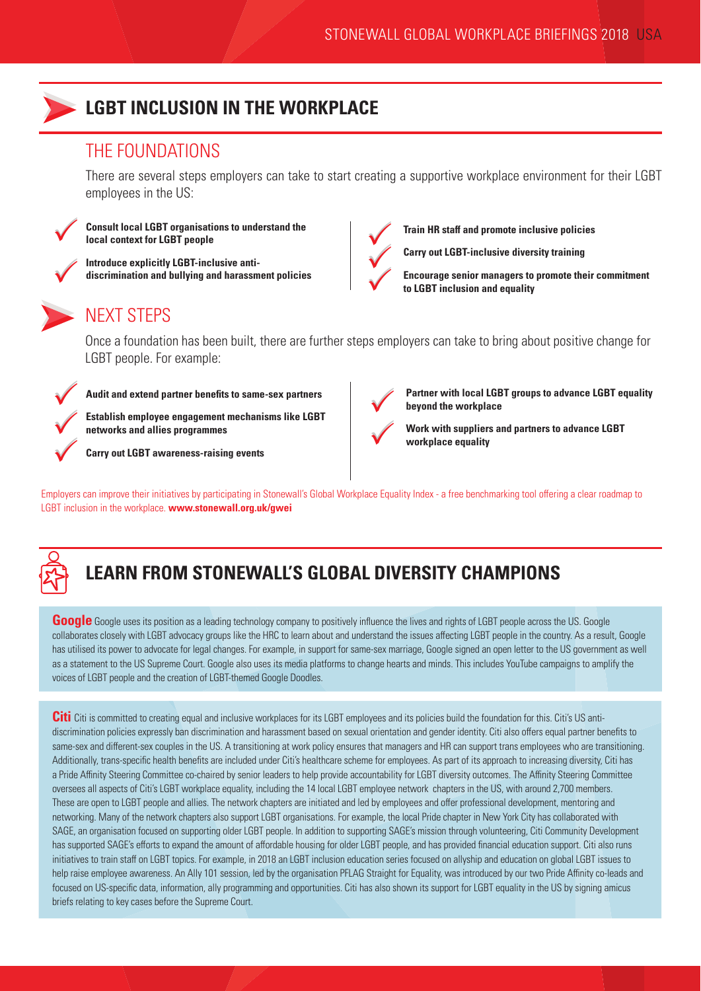

### **LGBT INCLUSION IN THE WORKPLACE**

### THE FOUNDATIONS

There are several steps employers can take to start creating a supportive workplace environment for their LGBT employees in the US:



 $\checkmark$ 

 $\checkmark$ 

**Consult local LGBT organisations to understand the local context for LGBT people**

**Introduce explicitly LGBT-inclusive antidiscrimination and bullying and harassment policies**

# NEXT STEPS

Once a foundation has been built, there are further steps employers can take to bring about positive change for LGBT people. For example:



**Audit and extend partner benefits to same-sex partners**

**Establish employee engagement mechanisms like LGBT networks and allies programmes**

**Carry out LGBT awareness-raising events**



**Train HR staff and promote inclusive policies**

**Carry out LGBT-inclusive diversity training**

**Encourage senior managers to promote their commitment to LGBT inclusion and equality** 

V

**beyond the workplace**

**Partner with local LGBT groups to advance LGBT equality** 



**Work with suppliers and partners to advance LGBT workplace equality**

Employers can improve their initiatives by participating in Stonewall's Global Workplace Equality Index - a free benchmarking tool offering a clear roadmap to LGBT inclusion in the workplace. **www.stonewall.org.uk/gwei**



# **LEARN FROM STONEWALL'S GLOBAL DIVERSITY CHAMPIONS**

**Google** Google uses its position as a leading technology company to positively influence the lives and rights of LGBT people across the US. Google collaborates closely with LGBT advocacy groups like the HRC to learn about and understand the issues affecting LGBT people in the country. As a result, Google has utilised its power to advocate for legal changes. For example, in support for same-sex marriage, Google signed an open letter to the US government as well as a statement to the US Supreme Court. Google also uses its media platforms to change hearts and minds. This includes YouTube campaigns to amplify the voices of LGBT people and the creation of LGBT-themed Google Doodles.

**Citi** Citi is committed to creating equal and inclusive workplaces for its LGBT employees and its policies build the foundation for this. Citi's US antidiscrimination policies expressly ban discrimination and harassment based on sexual orientation and gender identity. Citi also offers equal partner benefits to same-sex and different-sex couples in the US. A transitioning at work policy ensures that managers and HR can support trans employees who are transitioning. Additionally, trans-specific health benefits are included under Citi's healthcare scheme for employees. As part of its approach to increasing diversity, Citi has a Pride Affinity Steering Committee co-chaired by senior leaders to help provide accountability for LGBT diversity outcomes. The Affinity Steering Committee oversees all aspects of Citi's LGBT workplace equality, including the 14 local LGBT employee network chapters in the US, with around 2,700 members. These are open to LGBT people and allies. The network chapters are initiated and led by employees and offer professional development, mentoring and networking. Many of the network chapters also support LGBT organisations. For example, the local Pride chapter in New York City has collaborated with SAGE, an organisation focused on supporting older LGBT people. In addition to supporting SAGE's mission through volunteering, Citi Community Development has supported SAGE's efforts to expand the amount of affordable housing for older LGBT people, and has provided financial education support. Citi also runs initiatives to train staff on LGBT topics. For example, in 2018 an LGBT inclusion education series focused on allyship and education on global LGBT issues to help raise employee awareness. An Ally 101 session, led by the organisation PFLAG Straight for Equality, was introduced by our two Pride Affinity co-leads and focused on US-specific data, information, ally programming and opportunities. Citi has also shown its support for LGBT equality in the US by signing amicus briefs relating to key cases before the Supreme Court.